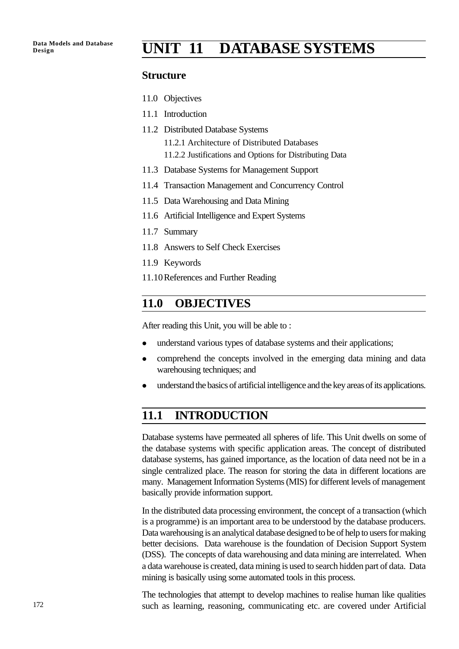# **Design UNIT 11 DATABASE SYSTEMS**

#### **Structure**

- 11.0 Objectives
- 11.1 Introduction
- 11.2 Distributed Database Systems 11.2.1 Architecture of Distributed Databases 11.2.2 Justifications and Options for Distributing Data
- 11.3 Database Systems for Management Support
- 11.4 Transaction Management and Concurrency Control
- 11.5 Data Warehousing and Data Mining
- 11.6 Artificial Intelligence and Expert Systems
- 11.7 Summary
- 11.8 Answers to Self Check Exercises
- 11.9 Keywords
- 11.10References and Further Reading

## **11.0 OBJECTIVES**

After reading this Unit, you will be able to :

- understand various types of database systems and their applications;
- comprehend the concepts involved in the emerging data mining and data warehousing techniques; and
- understand the basics of artificial intelligence and the key areas of its applications.

## **11.1 INTRODUCTION**

Database systems have permeated all spheres of life. This Unit dwells on some of the database systems with specific application areas. The concept of distributed database systems, has gained importance, as the location of data need not be in a single centralized place. The reason for storing the data in different locations are many. Management Information Systems (MIS) for different levels of management basically provide information support.

In the distributed data processing environment, the concept of a transaction (which is a programme) is an important area to be understood by the database producers. Data warehousing is an analytical database designed to be of help to users for making better decisions. Data warehouse is the foundation of Decision Support System (DSS). The concepts of data warehousing and data mining are interrelated. When a data warehouse is created, data mining is used to search hidden part of data. Data mining is basically using some automated tools in this process.

The technologies that attempt to develop machines to realise human like qualities such as learning, reasoning, communicating etc. are covered under Artificial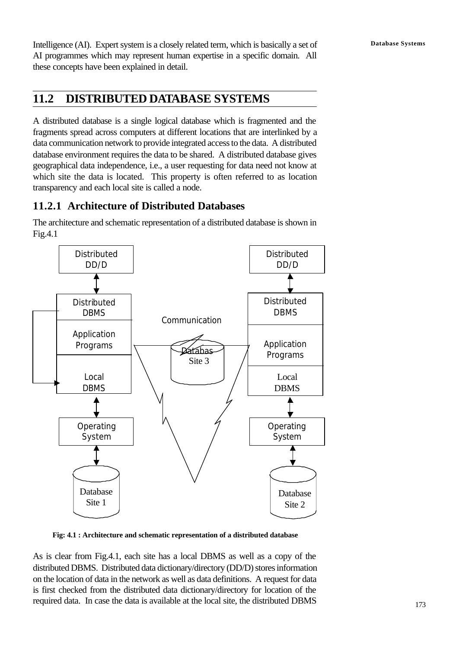Intelligence (AI). Expert system is a closely related term, which is basically a set of **Database Systems** AI programmes which may represent human expertise in a specific domain. All these concepts have been explained in detail.

## **11.2 DISTRIBUTED DATABASE SYSTEMS**

A distributed database is a single logical database which is fragmented and the fragments spread across computers at different locations that are interlinked by a data communication network to provide integrated access to the data. A distributed database environment requires the data to be shared. A distributed database gives geographical data independence, i.e., a user requesting for data need not know at which site the data is located. This property is often referred to as location transparency and each local site is called a node.

## **11.2.1 Architecture of Distributed Databases**

The architecture and schematic representation of a distributed database is shown in Fig.4.1



**Fig: 4.1 : Architecture and schematic representation of a distributed database**

As is clear from Fig.4.1, each site has a local DBMS as well as a copy of the distributed DBMS. Distributed data dictionary/directory (DD/D) stores information on the location of data in the network as well as data definitions. A request for data is first checked from the distributed data dictionary/directory for location of the required data. In case the data is available at the local site, the distributed DBMS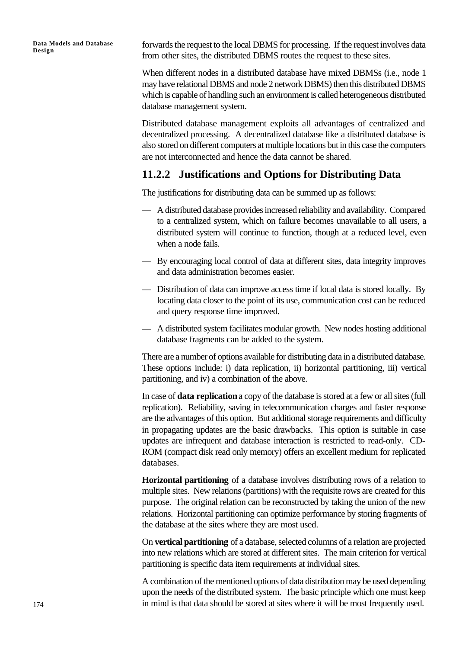forwards the request to the local DBMS for processing. If the request involves data from other sites, the distributed DBMS routes the request to these sites.

When different nodes in a distributed database have mixed DBMSs (i.e., node 1 may have relational DBMS and node 2 network DBMS) then this distributed DBMS which is capable of handling such an environment is called heterogeneous distributed database management system.

Distributed database management exploits all advantages of centralized and decentralized processing. A decentralized database like a distributed database is also stored on different computers at multiple locations but in this case the computers are not interconnected and hence the data cannot be shared.

#### **11.2.2 Justifications and Options for Distributing Data**

The justifications for distributing data can be summed up as follows:

- A distributed database provides increased reliability and availability. Compared to a centralized system, which on failure becomes unavailable to all users, a distributed system will continue to function, though at a reduced level, even when a node fails.
- By encouraging local control of data at different sites, data integrity improves and data administration becomes easier.
- Distribution of data can improve access time if local data is stored locally. By locating data closer to the point of its use, communication cost can be reduced and query response time improved.
- A distributed system facilitates modular growth. New nodes hosting additional database fragments can be added to the system.

There are a number of options available for distributing data in a distributed database. These options include: i) data replication, ii) horizontal partitioning, iii) vertical partitioning, and iv) a combination of the above.

In case of **data replication** a copy of the database is stored at a few or all sites (full replication). Reliability, saving in telecommunication charges and faster response are the advantages of this option. But additional storage requirements and difficulty in propagating updates are the basic drawbacks. This option is suitable in case updates are infrequent and database interaction is restricted to read-only. CD-ROM (compact disk read only memory) offers an excellent medium for replicated databases.

**Horizontal partitioning** of a database involves distributing rows of a relation to multiple sites. New relations (partitions) with the requisite rows are created for this purpose. The original relation can be reconstructed by taking the union of the new relations. Horizontal partitioning can optimize performance by storing fragments of the database at the sites where they are most used.

On **vertical partitioning** of a database, selected columns of a relation are projected into new relations which are stored at different sites. The main criterion for vertical partitioning is specific data item requirements at individual sites.

A combination of the mentioned options of data distribution may be used depending upon the needs of the distributed system. The basic principle which one must keep in mind is that data should be stored at sites where it will be most frequently used.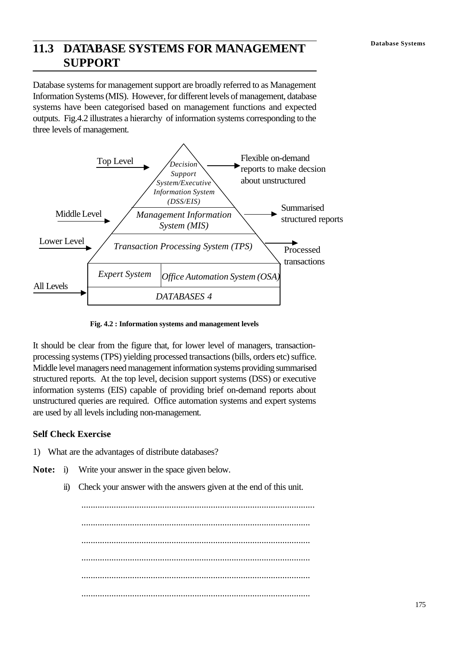## **Database Systems 11.3 DATABASE SYSTEMS FOR MANAGEMENT SUPPORT**

Database systems for management support are broadly referred to as Management Information Systems (MIS). However, for different levels of management, database systems have been categorised based on management functions and expected outputs. Fig.4.2 illustrates a hierarchy of information systems corresponding to the three levels of management.



**Fig. 4.2 : Information systems and management levels**

It should be clear from the figure that, for lower level of managers, transactionprocessing systems (TPS) yielding processed transactions (bills, orders etc) suffice. Middle level managers need management information systems providing summarised structured reports. At the top level, decision support systems (DSS) or executive information systems (EIS) capable of providing brief on-demand reports about unstructured queries are required. Office automation systems and expert systems are used by all levels including non-management.

#### **Self Check Exercise**

- 1) What are the advantages of distribute databases?
- **Note:** i) Write your answer in the space given below.
	- ii) Check your answer with the answers given at the end of this unit.

..................................................................................................... ................................................................................................... ................................................................................................... ................................................................................................... ................................................................................................... ...................................................................................................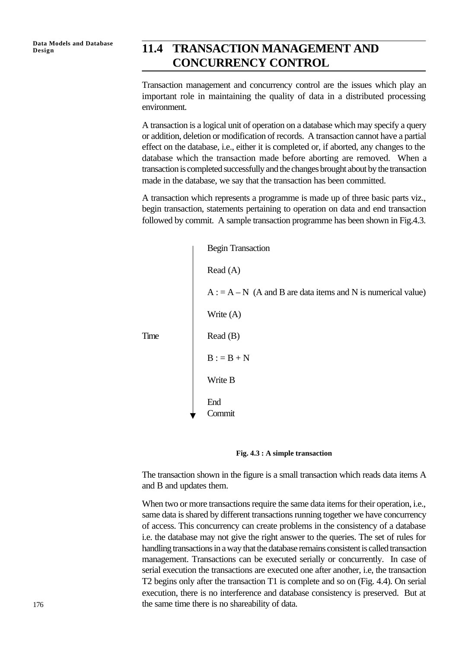## Data Models and Database **11.4 TRANSACTION MANAGEMENT AND CONCURRENCY CONTROL**

Transaction management and concurrency control are the issues which play an important role in maintaining the quality of data in a distributed processing environment.

A transaction is a logical unit of operation on a database which may specify a query or addition, deletion or modification of records. A transaction cannot have a partial effect on the database, i.e., either it is completed or, if aborted, any changes to the database which the transaction made before aborting are removed. When a transaction is completed successfully and the changes brought about by the transaction made in the database, we say that the transaction has been committed.

A transaction which represents a programme is made up of three basic parts viz., begin transaction, statements pertaining to operation on data and end transaction followed by commit. A sample transaction programme has been shown in Fig.4.3.





The transaction shown in the figure is a small transaction which reads data items A and B and updates them.

When two or more transactions require the same data items for their operation, i.e., same data is shared by different transactions running together we have concurrency of access. This concurrency can create problems in the consistency of a database i.e. the database may not give the right answer to the queries. The set of rules for handling transactions in a way that the database remains consistent is called transaction management. Transactions can be executed serially or concurrently. In case of serial execution the transactions are executed one after another, i.e, the transaction T2 begins only after the transaction T1 is complete and so on (Fig. 4.4). On serial execution, there is no interference and database consistency is preserved. But at the same time there is no shareability of data.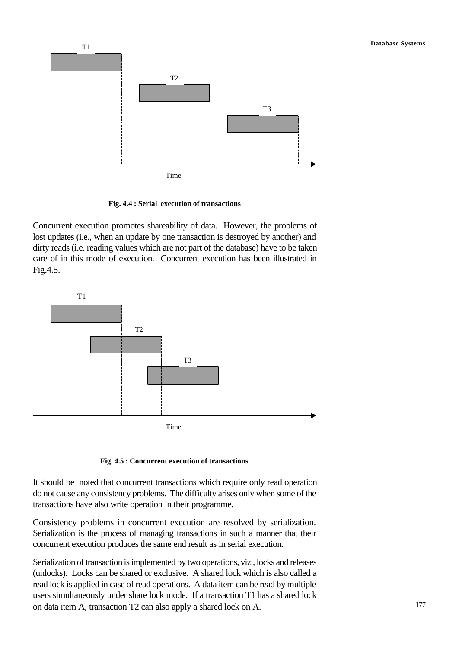

**Fig. 4.4 : Serial execution of transactions**

Concurrent execution promotes shareability of data. However, the problems of lost updates (i.e., when an update by one transaction is destroyed by another) and dirty reads (i.e. reading values which are not part of the database) have to be taken care of in this mode of execution. Concurrent execution has been illustrated in Fig.4.5.





It should be noted that concurrent transactions which require only read operation do not cause any consistency problems. The difficulty arises only when some of the transactions have also write operation in their programme.

Consistency problems in concurrent execution are resolved by serialization. Serialization is the process of managing transactions in such a manner that their concurrent execution produces the same end result as in serial execution.

Serialization of transaction is implemented by two operations, viz., locks and releases (unlocks). Locks can be shared or exclusive. A shared lock which is also called a read lock is applied in case of read operations. A data item can be read by multiple users simultaneously under share lock mode. If a transaction T1 has a shared lock on data item A, transaction T2 can also apply a shared lock on A.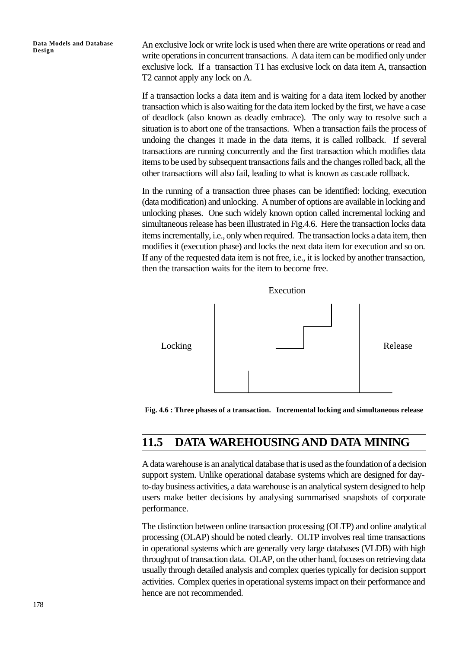An exclusive lock or write lock is used when there are write operations or read and write operations in concurrent transactions. A data item can be modified only under exclusive lock. If a transaction T1 has exclusive lock on data item A, transaction T2 cannot apply any lock on A.

If a transaction locks a data item and is waiting for a data item locked by another transaction which is also waiting for the data item locked by the first, we have a case of deadlock (also known as deadly embrace). The only way to resolve such a situation is to abort one of the transactions. When a transaction fails the process of undoing the changes it made in the data items, it is called rollback. If several transactions are running concurrently and the first transaction which modifies data items to be used by subsequent transactions fails and the changes rolled back, all the other transactions will also fail, leading to what is known as cascade rollback.

In the running of a transaction three phases can be identified: locking, execution (data modification) and unlocking. A number of options are available in locking and unlocking phases. One such widely known option called incremental locking and simultaneous release has been illustrated in Fig.4.6. Here the transaction locks data items incrementally, i.e., only when required. The transaction locks a data item, then modifies it (execution phase) and locks the next data item for execution and so on. If any of the requested data item is not free, i.e., it is locked by another transaction, then the transaction waits for the item to become free.





## **11.5 DATA WAREHOUSINGAND DATA MINING**

A data warehouse is an analytical database that is used as the foundation of a decision support system. Unlike operational database systems which are designed for dayto-day business activities, a data warehouse is an analytical system designed to help users make better decisions by analysing summarised snapshots of corporate performance.

The distinction between online transaction processing (OLTP) and online analytical processing (OLAP) should be noted clearly. OLTP involves real time transactions in operational systems which are generally very large databases (VLDB) with high throughput of transaction data. OLAP, on the other hand, focuses on retrieving data usually through detailed analysis and complex queries typically for decision support activities. Complex queries in operational systems impact on their performance and hence are not recommended.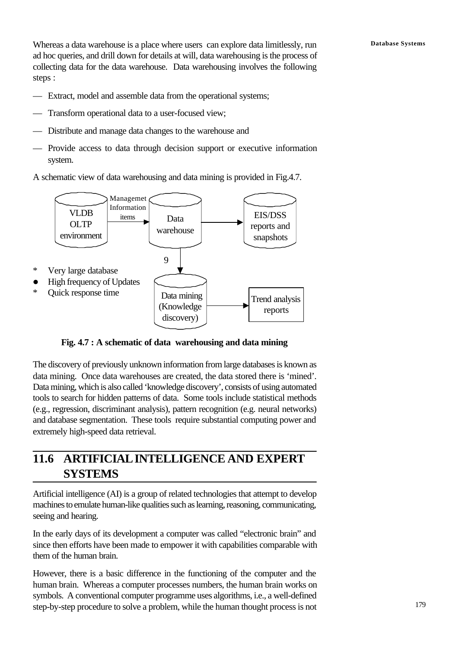Whereas a data warehouse is a place where users can explore data limitlessly, run **Database Systems** ad hoc queries, and drill down for details at will, data warehousing is the process of collecting data for the data warehouse. Data warehousing involves the following steps :

- Extract, model and assemble data from the operational systems;
- Transform operational data to a user-focused view;
- Distribute and manage data changes to the warehouse and
- Provide access to data through decision support or executive information system.

A schematic view of data warehousing and data mining is provided in Fig.4.7.



**Fig. 4.7 : A schematic of data warehousing and data mining**

The discovery of previously unknown information from large databases is known as data mining. Once data warehouses are created, the data stored there is 'mined'. Data mining, which is also called 'knowledge discovery', consists of using automated tools to search for hidden patterns of data. Some tools include statistical methods (e.g., regression, discriminant analysis), pattern recognition (e.g. neural networks) and database segmentation. These tools require substantial computing power and extremely high-speed data retrieval.

## **11.6 ARTIFICIAL INTELLIGENCE AND EXPERT SYSTEMS**

Artificial intelligence (AI) is a group of related technologies that attempt to develop machines to emulate human-like qualities such as learning, reasoning, communicating, seeing and hearing.

In the early days of its development a computer was called "electronic brain" and since then efforts have been made to empower it with capabilities comparable with them of the human brain.

However, there is a basic difference in the functioning of the computer and the human brain. Whereas a computer processes numbers, the human brain works on symbols. A conventional computer programme uses algorithms, i.e., a well-defined step-by-step procedure to solve a problem, while the human thought process is not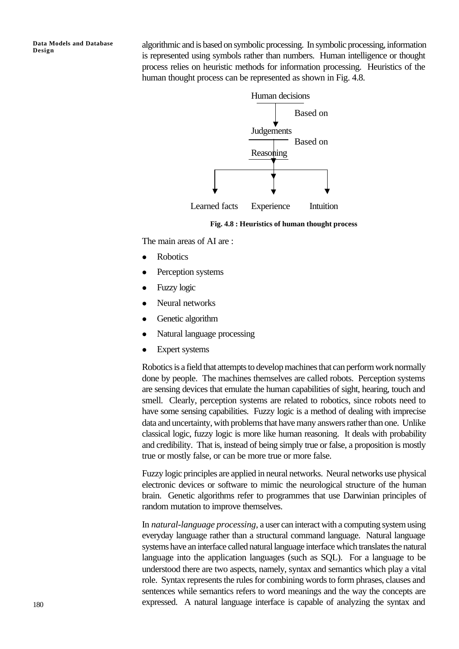algorithmic and is based on symbolic processing. In symbolic processing, information is represented using symbols rather than numbers. Human intelligence or thought process relies on heuristic methods for information processing. Heuristics of the human thought process can be represented as shown in Fig. 4.8.



**Fig. 4.8 : Heuristics of human thought process**

The main areas of AI are :

- Robotics
- Perception systems
- Fuzzy logic
- Neural networks
- Genetic algorithm
- Natural language processing
- $\bullet$  Expert systems

Robotics is a field that attempts to develop machines that can perform work normally done by people. The machines themselves are called robots. Perception systems are sensing devices that emulate the human capabilities of sight, hearing, touch and smell. Clearly, perception systems are related to robotics, since robots need to have some sensing capabilities. Fuzzy logic is a method of dealing with imprecise data and uncertainty, with problems that have many answers rather than one. Unlike classical logic, fuzzy logic is more like human reasoning. It deals with probability and credibility. That is, instead of being simply true or false, a proposition is mostly true or mostly false, or can be more true or more false.

Fuzzy logic principles are applied in neural networks. Neural networks use physical electronic devices or software to mimic the neurological structure of the human brain. Genetic algorithms refer to programmes that use Darwinian principles of random mutation to improve themselves.

In *natural-language processing,* a user can interact with a computing system using everyday language rather than a structural command language. Natural language systems have an interface called natural language interface which translates the natural language into the application languages (such as SQL). For a language to be understood there are two aspects, namely, syntax and semantics which play a vital role. Syntax represents the rules for combining words to form phrases, clauses and sentences while semantics refers to word meanings and the way the concepts are expressed. A natural language interface is capable of analyzing the syntax and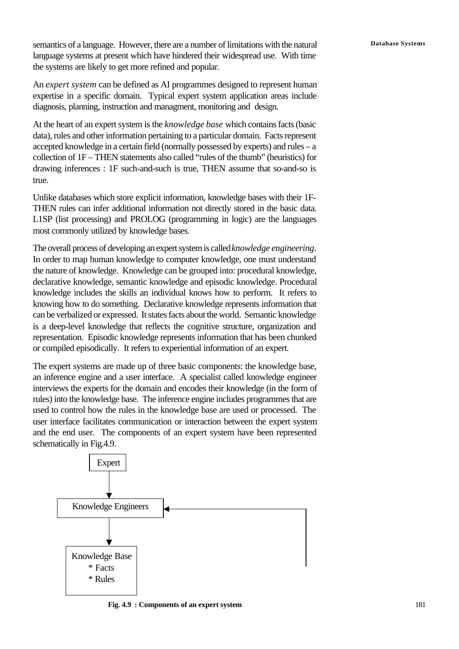semantics of a language. However, there are a number of limitations with the natural **Database Systems** language systems at present which have hindered their widespread use. With time the systems are likely to get more refined and popular.

An *expert system* can be defined as AI programmes designed to represent human expertise in a specific domain. Typical expert system application areas include diagnosis, planning, instruction and managment, monitoring and design.

At the heart of an expert system is the *knowledge base* which contains facts (basic data), rules and other information pertaining to a particular domain. Facts represent accepted knowledge in a certain field (normally possessed by experts) and rules – a collection of 1F – THEN statements also called "rules of the thumb" (heuristics) for drawing inferences : 1F such-and-such is true, THEN assume that so-and-so is true.

Unlike databases which store explicit information, knowledge bases with their 1F-THEN rules can infer additional information not directly stored in the basic data. L1SP (list processing) and PROLOG (programming in logic) are the languages most commonly utilized by knowledge bases.

The overall process of developing an expert system is called *knowledge engineering*. In order to map human knowledge to computer knowledge, one must understand the nature of knowledge. Knowledge can be grouped into: procedural knowledge, declarative knowledge, semantic knowledge and episodic knowledge. Procedural knowledge includes the skills an individual knows how to perform. It refers to knowing how to do something. Declarative knowledge represents information that can be verbalized or expressed. It states facts about the world. Semantic knowledge is a deep-level knowledge that reflects the cognitive structure, organization and representation. Episodic knowledge represents information that has been chunked or compiled episodically. It refers to experiential information of an expert.

The expert systems are made up of three basic components: the knowledge base, an inference engine and a user interface. A specialist called knowledge engineer interviews the experts for the domain and encodes their knowledge (in the form of rules) into the knowledge base. The inference engine includes programmes that are used to control how the rules in the knowledge base are used or processed. The user interface facilitates communication or interaction between the expert system and the end user. The components of an expert system have been represented schematically in Fig.4.9.



**Fig. 4.9 : Components of an expert system**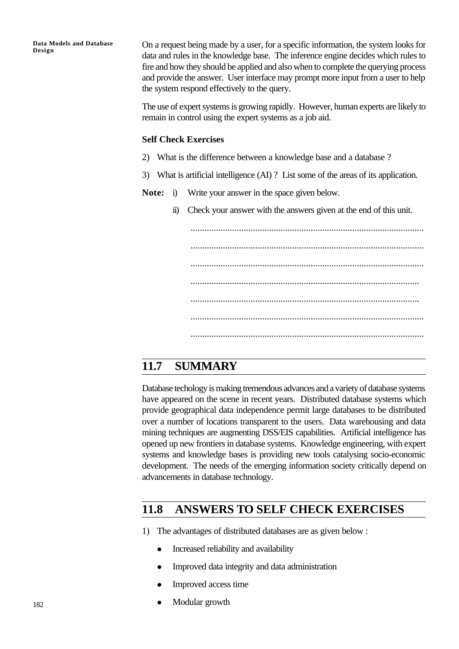On a request being made by a user, for a specific information, the system looks for data and rules in the knowledge base. The inference engine decides which rules to fire and how they should be applied and also when to complete the querying process and provide the answer. User interface may prompt more input from a user to help the system respond effectively to the query.

The use of expert systems is growing rapidly. However, human experts are likely to remain in control using the expert systems as a job aid.

#### **Self Check Exercises**

- 2) What is the difference between a knowledge base and a database ?
- 3) What is artificial intelligence (AI) ? List some of the areas of its application.
- **Note:** i) Write your answer in the space given below.
	- ii) Check your answer with the answers given at the end of this unit.

..................................................................................................... ..................................................................................................... ..................................................................................................... ................................................................................................... ................................................................................................... ..................................................................................................... .....................................................................................................

## **11.7 SUMMARY**

Database techology is making tremendous advances and a variety of database systems have appeared on the scene in recent years. Distributed database systems which provide geographical data independence permit large databases to be distributed over a number of locations transparent to the users. Data warehousing and data mining techniques are augmenting DSS/EIS capabilities. Artificial intelligence has opened up new frontiers in database systems. Knowledge engineering, with expert systems and knowledge bases is providing new tools catalysing socio-economic development. The needs of the emerging information society critically depend on advancements in database technology.

## **11.8 ANSWERS TO SELF CHECK EXERCISES**

- 1) The advantages of distributed databases are as given below :
	- <sup>l</sup> Increased reliability and availability
	- <sup>l</sup> Improved data integrity and data administration
	- <sup>l</sup> Improved access time
	- Modular growth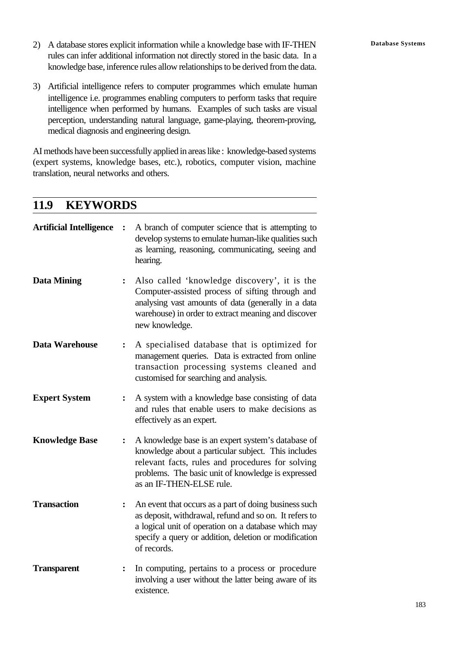- 2) A database stores explicit information while a knowledge base with IF-THEN **Database Systems** rules can infer additional information not directly stored in the basic data. In a knowledge base, inference rules allow relationships to be derived from the data.
- 3) Artificial intelligence refers to computer programmes which emulate human intelligence i.e. programmes enabling computers to perform tasks that require intelligence when performed by humans. Examples of such tasks are visual perception, understanding natural language, game-playing, theorem-proving, medical diagnosis and engineering design.

AI methods have been successfully applied in areas like : knowledge-based systems (expert systems, knowledge bases, etc.), robotics, computer vision, machine translation, neural networks and others.

## **11.9 KEYWORDS**

| <b>Artificial Intelligence</b> | $\ddot{\cdot}$ | A branch of computer science that is attempting to<br>develop systems to emulate human-like qualities such<br>as learning, reasoning, communicating, seeing and<br>hearing.                                                                     |
|--------------------------------|----------------|-------------------------------------------------------------------------------------------------------------------------------------------------------------------------------------------------------------------------------------------------|
| <b>Data Mining</b>             | $\ddot{\cdot}$ | Also called 'knowledge discovery', it is the<br>Computer-assisted process of sifting through and<br>analysing vast amounts of data (generally in a data<br>warehouse) in order to extract meaning and discover<br>new knowledge.                |
| Data Warehouse                 | $\ddot{\cdot}$ | A specialised database that is optimized for<br>management queries. Data is extracted from online<br>transaction processing systems cleaned and<br>customised for searching and analysis.                                                       |
| <b>Expert System</b>           | $\ddot{\cdot}$ | A system with a knowledge base consisting of data<br>and rules that enable users to make decisions as<br>effectively as an expert.                                                                                                              |
| <b>Knowledge Base</b>          | $\ddot{\cdot}$ | A knowledge base is an expert system's database of<br>knowledge about a particular subject. This includes<br>relevant facts, rules and procedures for solving<br>problems. The basic unit of knowledge is expressed<br>as an IF-THEN-ELSE rule. |
| <b>Transaction</b>             | $\ddot{\cdot}$ | An event that occurs as a part of doing business such<br>as deposit, withdrawal, refund and so on. It refers to<br>a logical unit of operation on a database which may<br>specify a query or addition, deletion or modification<br>of records.  |
| <b>Transparent</b>             | $\ddot{\cdot}$ | In computing, pertains to a process or procedure<br>involving a user without the latter being aware of its<br>existence.                                                                                                                        |